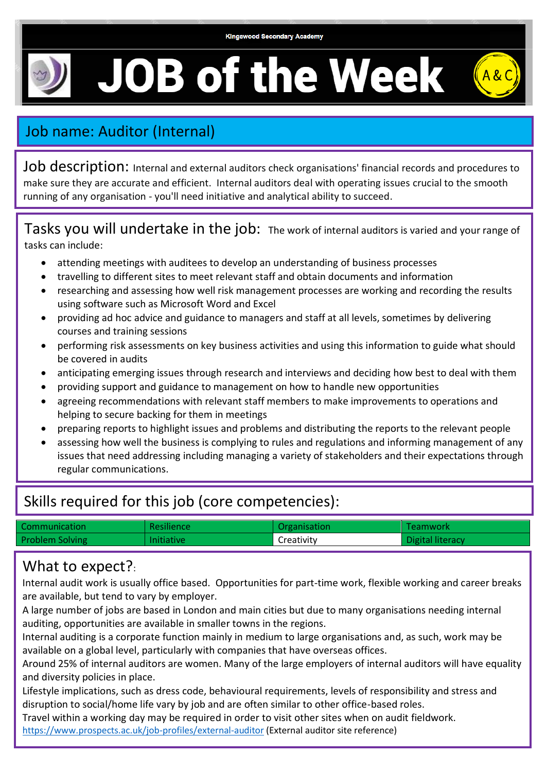# **JOB of the Week**



## Job name: Auditor (Internal)

Job description: Internal and external auditors check organisations' financial records and procedures to make sure they are accurate and efficient. Internal auditors deal with operating issues crucial to the smooth running of any organisation - you'll need initiative and analytical ability to succeed.

Tasks you will undertake in the job: The work of internal auditors is varied and your range of tasks can include:

- attending meetings with auditees to develop an understanding of business processes
- travelling to different sites to meet relevant staff and obtain documents and information
- researching and assessing how well risk management processes are working and recording the results using software such as Microsoft Word and Excel
- providing ad hoc advice and guidance to managers and staff at all levels, sometimes by delivering courses and training sessions
- performing risk assessments on key business activities and using this information to guide what should be covered in audits
- anticipating emerging issues through research and interviews and deciding how best to deal with them
- providing support and guidance to management on how to handle new opportunities
- agreeing recommendations with relevant staff members to make improvements to operations and helping to secure backing for them in meetings
- preparing reports to highlight issues and problems and distributing the reports to the relevant people
- assessing how well the business is complying to rules and regulations and informing management of any issues that need addressing including managing a variety of stakeholders and their expectations through regular communications.

#### Skills required for this job (core competencies):

| Communication          | Resilience        | Organisation | Teamwork         |
|------------------------|-------------------|--------------|------------------|
| <b>Problem Solving</b> | <b>Initiative</b> | Creativity   | Digital literacy |

#### What to expect?:

Internal audit work is usually office based. Opportunities for part-time work, flexible working and career breaks are available, but tend to vary by employer.

A large number of jobs are based in London and main cities but due to many organisations needing internal auditing, opportunities are available in smaller towns in the regions.

Internal auditing is a corporate function mainly in medium to large organisations and, as such, work may be available on a global level, particularly with companies that have overseas offices.

Around 25% of internal auditors are women. Many of the large employers of internal auditors will have equality and diversity policies in place.

Lifestyle implications, such as dress code, behavioural requirements, levels of responsibility and stress and disruption to social/home life vary by job and are often similar to other office-based roles.

Travel within a working day may be required in order to visit other sites when on audit fieldwork.

<https://www.prospects.ac.uk/job-profiles/external-auditor> (External auditor site reference)